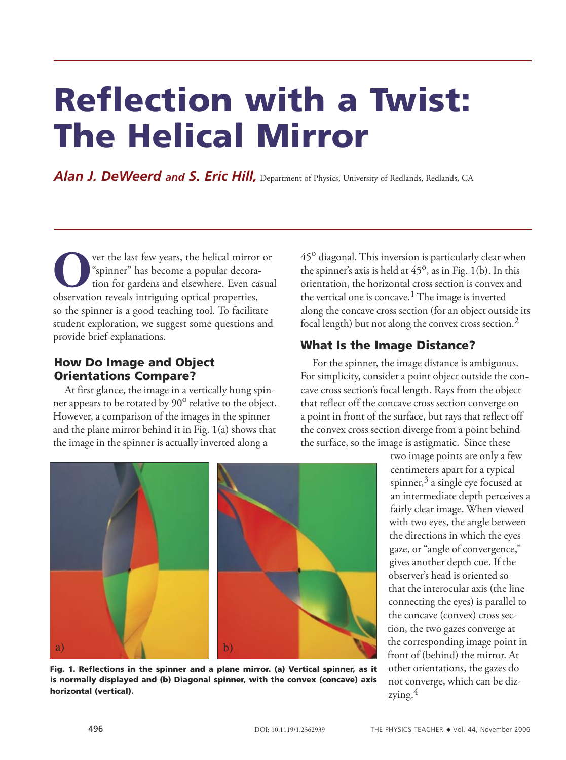# Reflection with a Twist: The Helical Mirror

Alan J. DeWeerd and S. Eric Hill, Department of Physics, University of Redlands, Redlands, CA

**O** ver the last few years, the helical mirror or "spinner" has become a popular decoration for gardens and elsewhere. Even casual observation reveals intriguing ontical properties "spinner" has become a popular decoraobservation reveals intriguing optical properties, so the spinner is a good teaching tool. To facilitate student exploration, we suggest some questions and provide brief explanations.

## How Do Image and Object Orientations Compare?

At first glance, the image in a vertically hung spinner appears to be rotated by 90<sup>o</sup> relative to the object. However, a comparison of the images in the spinner and the plane mirror behind it in Fig. 1(a) shows that the image in the spinner is actually inverted along a

45<sup>o</sup> diagonal. This inversion is particularly clear when the spinner's axis is held at  $45^\circ$ , as in Fig. 1(b). In this orientation, the horizontal cross section is convex and the vertical one is concave.<sup>1</sup> The image is inverted along the concave cross section (for an object outside its focal length) but not along the convex cross section.2

# What Is the Image Distance?

For the spinner, the image distance is ambiguous. For simplicity, consider a point object outside the concave cross section's focal length. Rays from the object that reflect off the concave cross section converge on a point in front of the surface, but rays that reflect off the convex cross section diverge from a point behind the surface, so the image is astigmatic. Since these



Fig. 1. Reflections in the spinner and a plane mirror. (a) Vertical spinner, as it is normally displayed and (b) Diagonal spinner, with the convex (concave) axis horizontal (vertical).

two image points are only a few centimeters apart for a typical spinner, $3$  a single eye focused at an intermediate depth perceives a fairly clear image. When viewed with two eyes, the angle between the directions in which the eyes gaze, or "angle of convergence," gives another depth cue. If the observer's head is oriented so that the interocular axis (the line connecting the eyes) is parallel to the concave (convex) cross section, the two gazes converge at the corresponding image point in front of (behind) the mirror. At other orientations, the gazes do not converge, which can be dizzying. $4$